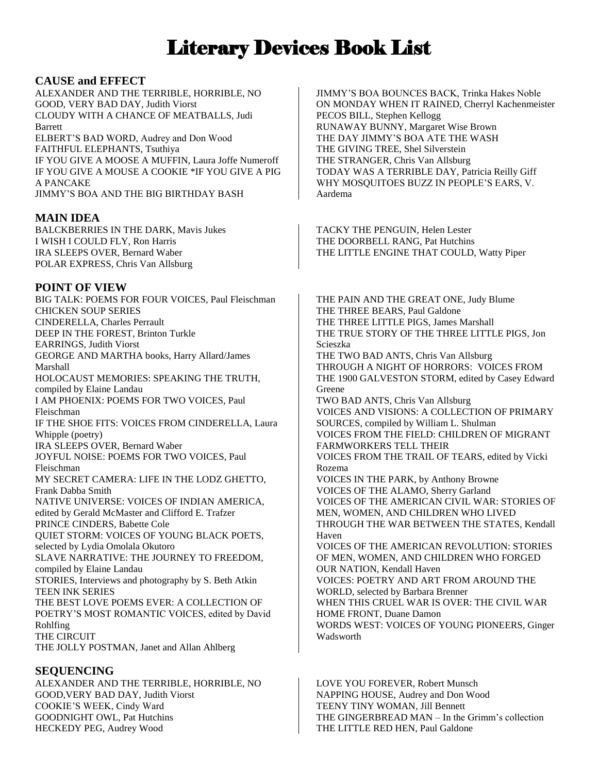# Literary Devices Book List

## **CAUSE and EFFECT**

ALEXANDER AND THE TERRIBLE, HORRIBLE, NO GOOD, VERY BAD DAY, Judith Viorst CLOUDY WITH A CHANCE OF MEATBALLS, Judi Barrett ELBERT'S BAD WORD, Audrey and Don Wood FAITHFUL ELEPHANTS, Tsuthiya IF YOU GIVE A MOOSE A MUFFIN, Laura Joffe Numeroff IF YOU GIVE A MOUSE A COOKIE \*IF YOU GIVE A PIG A PANCAKE JIMMY'S BOA AND THE BIG BIRTHDAY BASH

# **MAIN IDEA**

BALCKBERRIES IN THE DARK, Mavis Jukes I WISH I COULD FLY, Ron Harris IRA SLEEPS OVER, Bernard Waber POLAR EXPRESS, Chris Van Allsburg

# **POINT OF VIEW**

BIG TALK: POEMS FOR FOUR VOICES, Paul Fleischman CHICKEN SOUP SERIES CINDERELLA, Charles Perrault DEEP IN THE FOREST, Brinton Turkle EARRINGS, Judith Viorst GEORGE AND MARTHA books, Harry Allard/James Marshall HOLOCAUST MEMORIES: SPEAKING THE TRUTH, compiled by Elaine Landau I AM PHOENIX: POEMS FOR TWO VOICES, Paul Fleischman IF THE SHOE FITS: VOICES FROM CINDERELLA, Laura Whipple (poetry) IRA SLEEPS OVER, Bernard Waber JOYFUL NOISE: POEMS FOR TWO VOICES, Paul Fleischman MY SECRET CAMERA: LIFE IN THE LODZ GHETTO, Frank Dabba Smith NATIVE UNIVERSE: VOICES OF INDIAN AMERICA, edited by Gerald McMaster and Clifford E. Trafzer PRINCE CINDERS, Babette Cole QUIET STORM: VOICES OF YOUNG BLACK POETS, selected by Lydia Omolala Okutoro SLAVE NARRATIVE: THE JOURNEY TO FREEDOM, compiled by Elaine Landau STORIES, Interviews and photography by S. Beth Atkin TEEN INK SERIES THE BEST LOVE POEMS EVER: A COLLECTION OF POETRY'S MOST ROMANTIC VOICES, edited by David Rohlfing THE CIRCUIT THE JOLLY POSTMAN, Janet and Allan Ahlberg

# **SEQUENCING**

ALEXANDER AND THE TERRIBLE, HORRIBLE, NO GOOD,VERY BAD DAY, Judith Viorst COOKIE'S WEEK, Cindy Ward GOODNIGHT OWL, Pat Hutchins HECKEDY PEG, Audrey Wood

JIMMY'S BOA BOUNCES BACK, Trinka Hakes Noble ON MONDAY WHEN IT RAINED, Cherryl Kachenmeister PECOS BILL, Stephen Kellogg RUNAWAY BUNNY, Margaret Wise Brown THE DAY JIMMY'S BOA ATE THE WASH THE GIVING TREE, Shel Silverstein THE STRANGER, Chris Van Allsburg TODAY WAS A TERRIBLE DAY, Patricia Reilly Giff WHY MOSQUITOES BUZZ IN PEOPLE'S EARS, V. Aardema

TACKY THE PENGUIN, Helen Lester THE DOORBELL RANG, Pat Hutchins THE LITTLE ENGINE THAT COULD, Watty Piper

THE PAIN AND THE GREAT ONE, Judy Blume THE THREE BEARS, Paul Galdone THE THREE LITTLE PIGS, James Marshall THE TRUE STORY OF THE THREE LITTLE PIGS, Jon Scieszka THE TWO BAD ANTS, Chris Van Allsburg THROUGH A NIGHT OF HORRORS: VOICES FROM THE 1900 GALVESTON STORM, edited by Casey Edward Greene TWO BAD ANTS, Chris Van Allsburg VOICES AND VISIONS: A COLLECTION OF PRIMARY SOURCES, compiled by William L. Shulman VOICES FROM THE FIELD: CHILDREN OF MIGRANT FARMWORKERS TELL THEIR VOICES FROM THE TRAIL OF TEARS, edited by Vicki Rozema VOICES IN THE PARK, by Anthony Browne VOICES OF THE ALAMO, Sherry Garland VOICES OF THE AMERICAN CIVIL WAR: STORIES OF MEN, WOMEN, AND CHILDREN WHO LIVED THROUGH THE WAR BETWEEN THE STATES, Kendall Haven VOICES OF THE AMERICAN REVOLUTION: STORIES OF MEN, WOMEN, AND CHILDREN WHO FORGED OUR NATION, Kendall Haven VOICES: POETRY AND ART FROM AROUND THE WORLD, selected by Barbara Brenner WHEN THIS CRUEL WAR IS OVER: THE CIVIL WAR HOME FRONT, Duane Damon WORDS WEST: VOICES OF YOUNG PIONEERS, Ginger Wadsworth

LOVE YOU FOREVER, Robert Munsch NAPPING HOUSE, Audrey and Don Wood TEENY TINY WOMAN, Jill Bennett THE GINGERBREAD MAN – In the Grimm's collection THE LITTLE RED HEN, Paul Galdone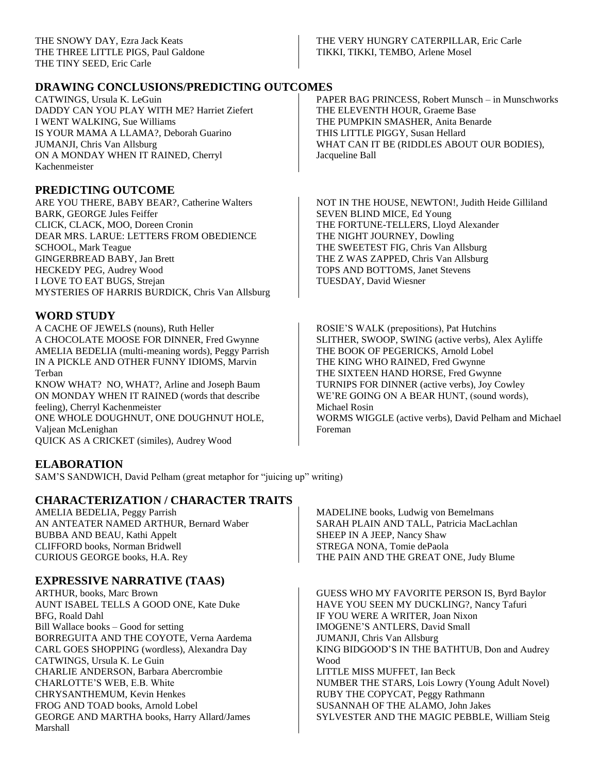#### THE VERY HUNGRY CATERPILLAR, Eric Carle TIKKI, TIKKI, TEMBO, Arlene Mosel

# **DRAWING CONCLUSIONS/PREDICTING OUTCOMES**

CATWINGS, Ursula K. LeGuin DADDY CAN YOU PLAY WITH ME? Harriet Ziefert I WENT WALKING, Sue Williams IS YOUR MAMA A LLAMA?, Deborah Guarino JUMANJI, Chris Van Allsburg ON A MONDAY WHEN IT RAINED, Cherryl Kachenmeister

#### **PREDICTING OUTCOME**

ARE YOU THERE, BABY BEAR?, Catherine Walters BARK, GEORGE Jules Feiffer CLICK, CLACK, MOO, Doreen Cronin DEAR MRS. LARUE: LETTERS FROM OBEDIENCE SCHOOL, Mark Teague GINGERBREAD BABY, Jan Brett HECKEDY PEG, Audrey Wood I LOVE TO EAT BUGS, Strejan MYSTERIES OF HARRIS BURDICK, Chris Van Allsburg

# **WORD STUDY**

A CACHE OF JEWELS (nouns), Ruth Heller A CHOCOLATE MOOSE FOR DINNER, Fred Gwynne AMELIA BEDELIA (multi-meaning words), Peggy Parrish IN A PICKLE AND OTHER FUNNY IDIOMS, Marvin Terban

KNOW WHAT? NO, WHAT?, Arline and Joseph Baum ON MONDAY WHEN IT RAINED (words that describe feeling), Cherryl Kachenmeister ONE WHOLE DOUGHNUT, ONE DOUGHNUT HOLE, Valjean McLenighan QUICK AS A CRICKET (similes), Audrey Wood

# **ELABORATION**

SAM'S SANDWICH, David Pelham (great metaphor for "juicing up" writing)

#### **CHARACTERIZATION / CHARACTER TRAITS**

AMELIA BEDELIA, Peggy Parrish AN ANTEATER NAMED ARTHUR, Bernard Waber BUBBA AND BEAU, Kathi Appelt CLIFFORD books, Norman Bridwell CURIOUS GEORGE books, H.A. Rey

# **EXPRESSIVE NARRATIVE (TAAS)**

ARTHUR, books, Marc Brown AUNT ISABEL TELLS A GOOD ONE, Kate Duke BFG, Roald Dahl Bill Wallace books – Good for setting BORREGUITA AND THE COYOTE, Verna Aardema CARL GOES SHOPPING (wordless), Alexandra Day CATWINGS, Ursula K. Le Guin CHARLIE ANDERSON, Barbara Abercrombie CHARLOTTE'S WEB, E.B. White CHRYSANTHEMUM, Kevin Henkes FROG AND TOAD books, Arnold Lobel GEORGE AND MARTHA books, Harry Allard/James Marshall

PAPER BAG PRINCESS, Robert Munsch – in Munschworks THE ELEVENTH HOUR, Graeme Base THE PUMPKIN SMASHER, Anita Benarde THIS LITTLE PIGGY, Susan Hellard WHAT CAN IT BE (RIDDLES ABOUT OUR BODIES), Jacqueline Ball

NOT IN THE HOUSE, NEWTON!, Judith Heide Gilliland SEVEN BLIND MICE, Ed Young THE FORTUNE-TELLERS, Lloyd Alexander THE NIGHT JOURNEY, Dowling THE SWEETEST FIG, Chris Van Allsburg THE Z WAS ZAPPED, Chris Van Allsburg TOPS AND BOTTOMS, Janet Stevens TUESDAY, David Wiesner

ROSIE'S WALK (prepositions), Pat Hutchins SLITHER, SWOOP, SWING (active verbs), Alex Ayliffe THE BOOK OF PEGERICKS, Arnold Lobel THE KING WHO RAINED, Fred Gwynne THE SIXTEEN HAND HORSE, Fred Gwynne TURNIPS FOR DINNER (active verbs), Joy Cowley WE'RE GOING ON A BEAR HUNT, (sound words), Michael Rosin WORMS WIGGLE (active verbs), David Pelham and Michael Foreman

MADELINE books, Ludwig von Bemelmans SARAH PLAIN AND TALL, Patricia MacLachlan SHEEP IN A JEEP, Nancy Shaw STREGA NONA, Tomie dePaola THE PAIN AND THE GREAT ONE, Judy Blume

GUESS WHO MY FAVORITE PERSON IS, Byrd Baylor HAVE YOU SEEN MY DUCKLING?, Nancy Tafuri IF YOU WERE A WRITER, Joan Nixon IMOGENE'S ANTLERS, David Small JUMANJI, Chris Van Allsburg KING BIDGOOD'S IN THE BATHTUB, Don and Audrey Wood LITTLE MISS MUFFET, Ian Beck NUMBER THE STARS, Lois Lowry (Young Adult Novel) RUBY THE COPYCAT, Peggy Rathmann SUSANNAH OF THE ALAMO, John Jakes SYLVESTER AND THE MAGIC PEBBLE, William Steig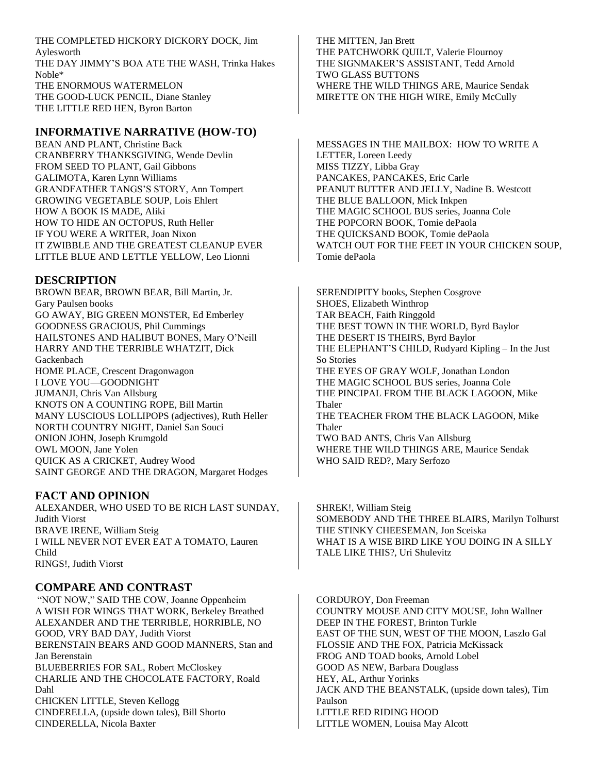THE COMPLETED HICKORY DICKORY DOCK, Jim Aylesworth THE DAY JIMMY'S BOA ATE THE WASH, Trinka Hakes Noble\* THE ENORMOUS WATERMELON THE GOOD-LUCK PENCIL, Diane Stanley THE LITTLE RED HEN, Byron Barton

#### **INFORMATIVE NARRATIVE (HOW-TO)**

BEAN AND PLANT, Christine Back CRANBERRY THANKSGIVING, Wende Devlin FROM SEED TO PLANT, Gail Gibbons GALIMOTA, Karen Lynn Williams GRANDFATHER TANGS'S STORY, Ann Tompert GROWING VEGETABLE SOUP, Lois Ehlert HOW A BOOK IS MADE, Aliki HOW TO HIDE AN OCTOPUS, Ruth Heller IF YOU WERE A WRITER, Joan Nixon IT ZWIBBLE AND THE GREATEST CLEANUP EVER LITTLE BLUE AND LETTLE YELLOW, Leo Lionni

#### **DESCRIPTION**

BROWN BEAR, BROWN BEAR, Bill Martin, Jr. Gary Paulsen books GO AWAY, BIG GREEN MONSTER, Ed Emberley GOODNESS GRACIOUS, Phil Cummings HAILSTONES AND HALIBUT BONES, Mary O'Neill HARRY AND THE TERRIBLE WHATZIT, Dick Gackenbach HOME PLACE, Crescent Dragonwagon I LOVE YOU—GOODNIGHT JUMANJI, Chris Van Allsburg KNOTS ON A COUNTING ROPE, Bill Martin MANY LUSCIOUS LOLLIPOPS (adjectives), Ruth Heller NORTH COUNTRY NIGHT, Daniel San Souci ONION JOHN, Joseph Krumgold OWL MOON, Jane Yolen QUICK AS A CRICKET, Audrey Wood SAINT GEORGE AND THE DRAGON, Margaret Hodges

#### **FACT AND OPINION**

ALEXANDER, WHO USED TO BE RICH LAST SUNDAY, Judith Viorst BRAVE IRENE, William Steig I WILL NEVER NOT EVER EAT A TOMATO, Lauren Child RINGS!, Judith Viorst

#### **COMPARE AND CONTRAST**

"NOT NOW," SAID THE COW, Joanne Oppenheim A WISH FOR WINGS THAT WORK, Berkeley Breathed ALEXANDER AND THE TERRIBLE, HORRIBLE, NO GOOD, VRY BAD DAY, Judith Viorst BERENSTAIN BEARS AND GOOD MANNERS, Stan and Jan Berenstain BLUEBERRIES FOR SAL, Robert McCloskey CHARLIE AND THE CHOCOLATE FACTORY, Roald Dahl CHICKEN LITTLE, Steven Kellogg CINDERELLA, (upside down tales), Bill Shorto CINDERELLA, Nicola Baxter

THE MITTEN, Jan Brett THE PATCHWORK QUILT, Valerie Flournoy THE SIGNMAKER'S ASSISTANT, Tedd Arnold TWO GLASS BUTTONS WHERE THE WILD THINGS ARE, Maurice Sendak MIRETTE ON THE HIGH WIRE, Emily McCully

MESSAGES IN THE MAILBOX: HOW TO WRITE A LETTER, Loreen Leedy MISS TIZZY, Libba Gray PANCAKES, PANCAKES, Eric Carle PEANUT BUTTER AND JELLY, Nadine B. Westcott THE BLUE BALLOON, Mick Inkpen THE MAGIC SCHOOL BUS series, Joanna Cole THE POPCORN BOOK, Tomie dePaola THE QUICKSAND BOOK, Tomie dePaola WATCH OUT FOR THE FEET IN YOUR CHICKEN SOUP, Tomie dePaola

SERENDIPITY books, Stephen Cosgrove SHOES, Elizabeth Winthrop TAR BEACH, Faith Ringgold THE BEST TOWN IN THE WORLD, Byrd Baylor THE DESERT IS THEIRS, Byrd Baylor THE ELEPHANT'S CHILD, Rudyard Kipling – In the Just So Stories THE EYES OF GRAY WOLF, Jonathan London THE MAGIC SCHOOL BUS series, Joanna Cole THE PINCIPAL FROM THE BLACK LAGOON, Mike Thaler THE TEACHER FROM THE BLACK LAGOON, Mike Thaler TWO BAD ANTS, Chris Van Allsburg WHERE THE WILD THINGS ARE, Maurice Sendak WHO SAID RED?, Mary Serfozo

SHREK!, William Steig SOMEBODY AND THE THREE BLAIRS, Marilyn Tolhurst THE STINKY CHEESEMAN, Jon Sceiska WHAT IS A WISE BIRD LIKE YOU DOING IN A SILLY TALE LIKE THIS?, Uri Shulevitz

CORDUROY, Don Freeman COUNTRY MOUSE AND CITY MOUSE, John Wallner DEEP IN THE FOREST, Brinton Turkle EAST OF THE SUN, WEST OF THE MOON, Laszlo Gal FLOSSIE AND THE FOX, Patricia McKissack FROG AND TOAD books, Arnold Lobel GOOD AS NEW, Barbara Douglass HEY, AL, Arthur Yorinks JACK AND THE BEANSTALK, (upside down tales), Tim Paulson LITTLE RED RIDING HOOD LITTLE WOMEN, Louisa May Alcott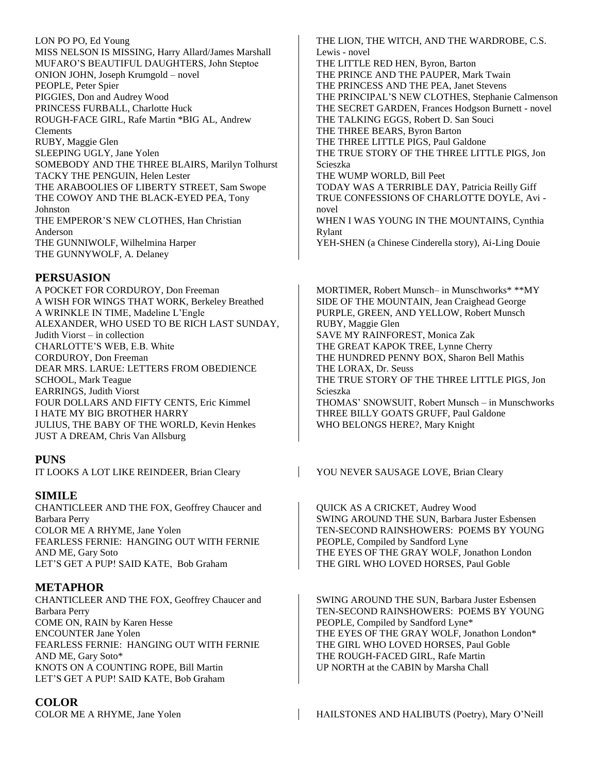LON PO PO, Ed Young MISS NELSON IS MISSING, Harry Allard/James Marshall MUFARO'S BEAUTIFUL DAUGHTERS, John Steptoe ONION JOHN, Joseph Krumgold – novel PEOPLE, Peter Spier PIGGIES, Don and Audrey Wood PRINCESS FURBALL, Charlotte Huck ROUGH-FACE GIRL, Rafe Martin \*BIG AL, Andrew Clements RUBY, Maggie Glen SLEEPING UGLY, Jane Yolen SOMEBODY AND THE THREE BLAIRS, Marilyn Tolhurst TACKY THE PENGUIN, Helen Lester THE ARABOOLIES OF LIBERTY STREET, Sam Swope THE COWOY AND THE BLACK-EYED PEA, Tony Johnston THE EMPEROR'S NEW CLOTHES, Han Christian Anderson THE GUNNIWOLF, Wilhelmina Harper THE GUNNYWOLF, A. Delaney

#### **PERSUASION**

A POCKET FOR CORDUROY, Don Freeman A WISH FOR WINGS THAT WORK, Berkeley Breathed A WRINKLE IN TIME, Madeline L'Engle ALEXANDER, WHO USED TO BE RICH LAST SUNDAY, Judith Viorst – in collection CHARLOTTE'S WEB, E.B. White CORDUROY, Don Freeman DEAR MRS. LARUE: LETTERS FROM OBEDIENCE SCHOOL, Mark Teague EARRINGS, Judith Viorst FOUR DOLLARS AND FIFTY CENTS, Eric Kimmel I HATE MY BIG BROTHER HARRY JULIUS, THE BABY OF THE WORLD, Kevin Henkes JUST A DREAM, Chris Van Allsburg

#### **PUNS**

IT LOOKS A LOT LIKE REINDEER, Brian Cleary YOU NEVER SAUSAGE LOVE, Brian Cleary

#### **SIMILE**

CHANTICLEER AND THE FOX, Geoffrey Chaucer and Barbara Perry COLOR ME A RHYME, Jane Yolen FEARLESS FERNIE: HANGING OUT WITH FERNIE AND ME, Gary Soto LET'S GET A PUP! SAID KATE, Bob Graham

# **METAPHOR**

CHANTICLEER AND THE FOX, Geoffrey Chaucer and Barbara Perry COME ON, RAIN by Karen Hesse ENCOUNTER Jane Yolen FEARLESS FERNIE: HANGING OUT WITH FERNIE AND ME, Gary Soto\* KNOTS ON A COUNTING ROPE, Bill Martin LET'S GET A PUP! SAID KATE, Bob Graham

# **COLOR**

THE LION, THE WITCH, AND THE WARDROBE, C.S. Lewis - novel THE LITTLE RED HEN, Byron, Barton THE PRINCE AND THE PAUPER, Mark Twain THE PRINCESS AND THE PEA, Janet Stevens THE PRINCIPAL'S NEW CLOTHES, Stephanie Calmenson THE SECRET GARDEN, Frances Hodgson Burnett - novel THE TALKING EGGS, Robert D. San Souci THE THREE BEARS, Byron Barton THE THREE LITTLE PIGS, Paul Galdone THE TRUE STORY OF THE THREE LITTLE PIGS, Jon Scieszka THE WUMP WORLD, Bill Peet TODAY WAS A TERRIBLE DAY, Patricia Reilly Giff TRUE CONFESSIONS OF CHARLOTTE DOYLE, Avi novel WHEN I WAS YOUNG IN THE MOUNTAINS, Cynthia Rylant

YEH-SHEN (a Chinese Cinderella story), Ai-Ling Douie

MORTIMER, Robert Munsch– in Munschworks\* \*\*MY SIDE OF THE MOUNTAIN, Jean Craighead George PURPLE, GREEN, AND YELLOW, Robert Munsch RUBY, Maggie Glen SAVE MY RAINFOREST, Monica Zak THE GREAT KAPOK TREE, Lynne Cherry THE HUNDRED PENNY BOX, Sharon Bell Mathis THE LORAX, Dr. Seuss THE TRUE STORY OF THE THREE LITTLE PIGS, Jon Scieszka THOMAS' SNOWSUIT, Robert Munsch – in Munschworks THREE BILLY GOATS GRUFF, Paul Galdone WHO BELONGS HERE?, Mary Knight

QUICK AS A CRICKET, Audrey Wood SWING AROUND THE SUN, Barbara Juster Esbensen TEN-SECOND RAINSHOWERS: POEMS BY YOUNG PEOPLE, Compiled by Sandford Lyne THE EYES OF THE GRAY WOLF, Jonathon London THE GIRL WHO LOVED HORSES, Paul Goble

SWING AROUND THE SUN, Barbara Juster Esbensen TEN-SECOND RAINSHOWERS: POEMS BY YOUNG PEOPLE, Compiled by Sandford Lyne\* THE EYES OF THE GRAY WOLF, Jonathon London\* THE GIRL WHO LOVED HORSES, Paul Goble THE ROUGH-FACED GIRL, Rafe Martin UP NORTH at the CABIN by Marsha Chall

COLOR ME A RHYME, Jane Yolen HAILSTONES AND HALIBUTS (Poetry), Mary O'Neill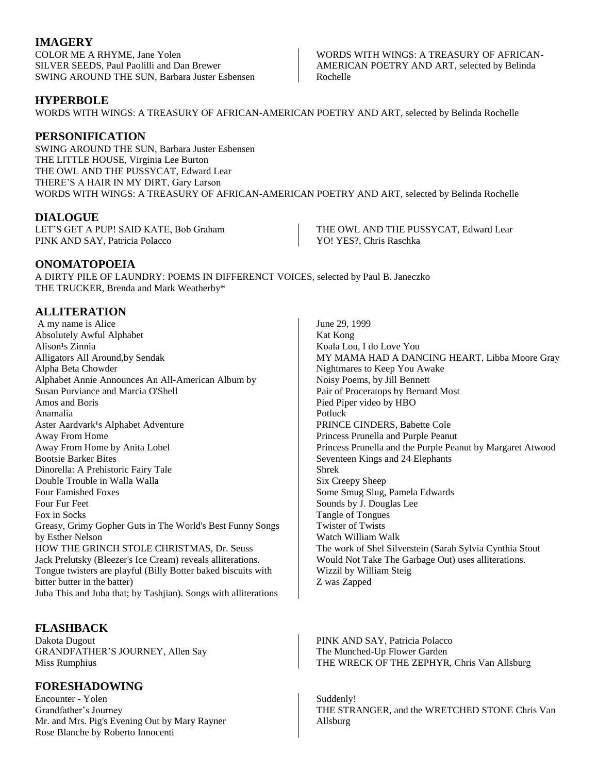# **IMAGERY**

COLOR ME A RHYME, Jane Yolen SILVER SEEDS, Paul Paolilli and Dan Brewer SWING AROUND THE SUN, Barbara Juster Esbensen

#### **HYPERBOLE**

WORDS WITH WINGS: A TREASURY OF AFRICAN-AMERICAN POETRY AND ART, selected by Belinda Rochelle

## **PERSONIFICATION**

SWING AROUND THE SUN, Barbara Juster Esbensen THE LITTLE HOUSE, Virginia Lee Burton THE OWL AND THE PUSSYCAT, Edward Lear THERE'S A HAIR IN MY DIRT, Gary Larson WORDS WITH WINGS: A TREASURY OF AFRICAN-AMERICAN POETRY AND ART, selected by Belinda Rochelle

#### **DIALOGUE**

LET'S GET A PUP! SAID KATE, Bob Graham PINK AND SAY, Patricia Polacco

#### **ONOMATOPOEIA**

A DIRTY PILE OF LAUNDRY: POEMS IN DIFFERENCT VOICES, selected by Paul B. Janeczko THE TRUCKER, Brenda and Mark Weatherby\*

# **ALLITERATION**

A my name is Alice Absolutely Awful Alphabet Alison<sup>1</sup>s Zinnia Alligators All Around,by Sendak Alpha Beta Chowder Alphabet Annie Announces An All-American Album by Susan Purviance and Marcia O'Shell Amos and Boris Anamalia Aster Aardvark<sup>1</sup>s Alphabet Adventure Away From Home Away From Home by Anita Lobel Bootsie Barker Bites Dinorella: A Prehistoric Fairy Tale Double Trouble in Walla Walla Four Famished Foxes Four Fur Feet Fox in Socks Greasy, Grimy Gopher Guts in The World's Best Funny Songs by Esther Nelson HOW THE GRINCH STOLE CHRISTMAS, Dr. Seuss Jack Prelutsky (Bleezer's Ice Cream) reveals alliterations. Tongue twisters are playful (Billy Botter baked biscuits with bitter butter in the batter) Juba This and Juba that; by Tashjian). Songs with alliterations

# **FLASHBACK**

Dakota Dugout GRANDFATHER'S JOURNEY, Allen Say Miss Rumphius

# **FORESHADOWING**

Encounter - Yolen Grandfather's Journey Mr. and Mrs. Pig's Evening Out by Mary Rayner Rose Blanche by Roberto Innocenti

June 29, 1999 Kat Kong Koala Lou, I do Love You MY MAMA HAD A DANCING HEART, Libba Moore Gray Nightmares to Keep You Awake Noisy Poems, by Jill Bennett Pair of Proceratops by Bernard Most Pied Piper video by HBO Potluck PRINCE CINDERS, Babette Cole Princess Prunella and Purple Peanut Princess Prunella and the Purple Peanut by Margaret Atwood Seventeen Kings and 24 Elephants Shrek Six Creepy Sheep Some Smug Slug, Pamela Edwards Sounds by J. Douglas Lee Tangle of Tongues Twister of Twists Watch William Walk The work of Shel Silverstein (Sarah Sylvia Cynthia Stout Would Not Take The Garbage Out) uses alliterations. Wizzil by William Steig Z was Zapped

PINK AND SAY, Patricia Polacco The Munched-Up Flower Garden THE WRECK OF THE ZEPHYR, Chris Van Allsburg

Suddenly! THE STRANGER, and the WRETCHED STONE Chris Van Allsburg

THE OWL AND THE PUSSYCAT, Edward Lear YO! YES?, Chris Raschka

WORDS WITH WINGS: A TREASURY OF AFRICAN-AMERICAN POETRY AND ART, selected by Belinda Rochelle